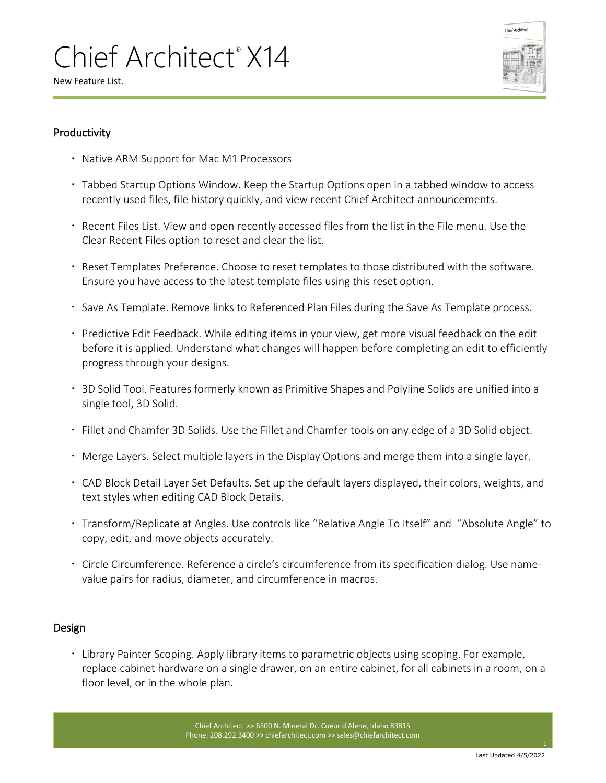

New Feature List.

### Productivity

- Native ARM Support for Mac M1 Processors
- Tabbed Startup Options Window. Keep the Startup Options open in a tabbed window to access recently used files, file history quickly, and view recent Chief Architect announcements.
- Recent Files List. View and open recently accessed files from the list in the File menu. Use the Clear Recent Files option to reset and clear the list.
- Reset Templates Preference. Choose to reset templates to those distributed with the software. Ensure you have access to the latest template files using this reset option.
- $\cdot$  Save As Template. Remove links to Referenced Plan Files during the Save As Template process.
- Predictive Edit Feedback. While editing items in your view, get more visual feedback on the edit before it is applied. Understand what changes will happen before completing an edit to efficiently progress through your designs.
- 3D Solid Tool. Features formerly known as Primitive Shapes and Polyline Solids are unified into a single tool, 3D Solid.
- Fillet and Chamfer 3D Solids. Use the Fillet and Chamfer tools on any edge of a 3D Solid object.
- Merge Layers. Select multiple layers in the Display Options and merge them into a single layer.
- CAD Block Detail Layer Set Defaults. Set up the default layers displayed, their colors, weights, and text styles when editing CAD Block Details.
- Transform/Replicate at Angles. Use controls like "Relative Angle To Itself" and "Absolute Angle" to copy, edit, and move objects accurately.
- Circle Circumference. Reference a circle's circumference from its specification dialog. Use namevalue pairs for radius, diameter, and circumference in macros.

### Design

 Library Painter Scoping. Apply library items to parametric objects using scoping. For example, replace cabinet hardware on a single drawer, on an entire cabinet, for all cabinets in a room, on a floor level, or in the whole plan.

> Chief Architect >> 6500 N. Mineral Dr. Coeur d'Alene, Idaho 83815 Phone: 208.292.3400 >> chiefarchitect.com >> sales@chiefarchitect.com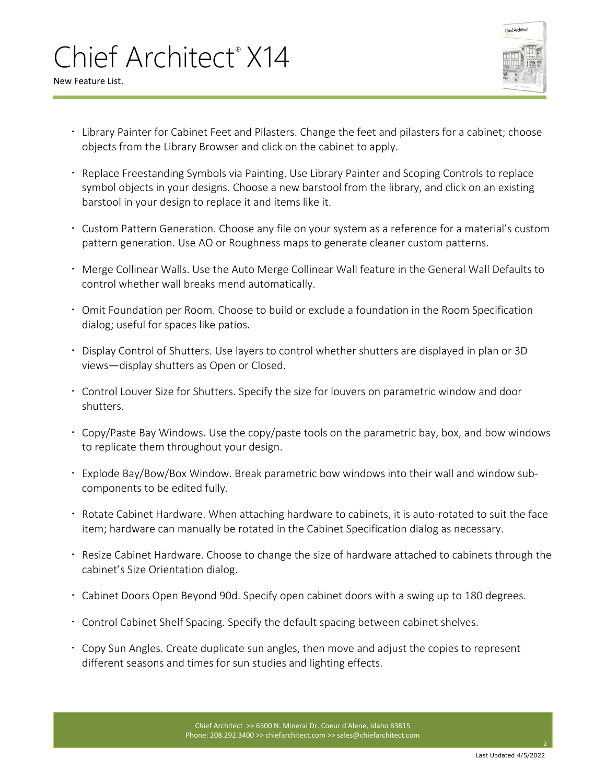

New Feature List.

- Library Painter for Cabinet Feet and Pilasters. Change the feet and pilasters for a cabinet; choose objects from the Library Browser and click on the cabinet to apply.
- Replace Freestanding Symbols via Painting. Use Library Painter and Scoping Controls to replace symbol objects in your designs. Choose a new barstool from the library, and click on an existing barstool in your design to replace it and items like it.
- Custom Pattern Generation. Choose any file on your system as a reference for a material's custom pattern generation. Use AO or Roughness maps to generate cleaner custom patterns.
- Merge Collinear Walls. Use the Auto Merge Collinear Wall feature in the General Wall Defaults to control whether wall breaks mend automatically.
- Omit Foundation per Room. Choose to build or exclude a foundation in the Room Specification dialog; useful for spaces like patios.
- Display Control of Shutters. Use layers to control whether shutters are displayed in plan or 3D views—display shutters as Open or Closed.
- Control Louver Size for Shutters. Specify the size for louvers on parametric window and door shutters.
- Copy/Paste Bay Windows. Use the copy/paste tools on the parametric bay, box, and bow windows to replicate them throughout your design.
- Explode Bay/Bow/Box Window. Break parametric bow windows into their wall and window subcomponents to be edited fully.
- Rotate Cabinet Hardware. When attaching hardware to cabinets, it is auto-rotated to suit the face item; hardware can manually be rotated in the Cabinet Specification dialog as necessary.
- Resize Cabinet Hardware. Choose to change the size of hardware attached to cabinets through the cabinet's Size Orientation dialog.
- Cabinet Doors Open Beyond 90d. Specify open cabinet doors with a swing up to 180 degrees.
- Control Cabinet Shelf Spacing. Specify the default spacing between cabinet shelves.
- Copy Sun Angles. Create duplicate sun angles, then move and adjust the copies to represent different seasons and times for sun studies and lighting effects.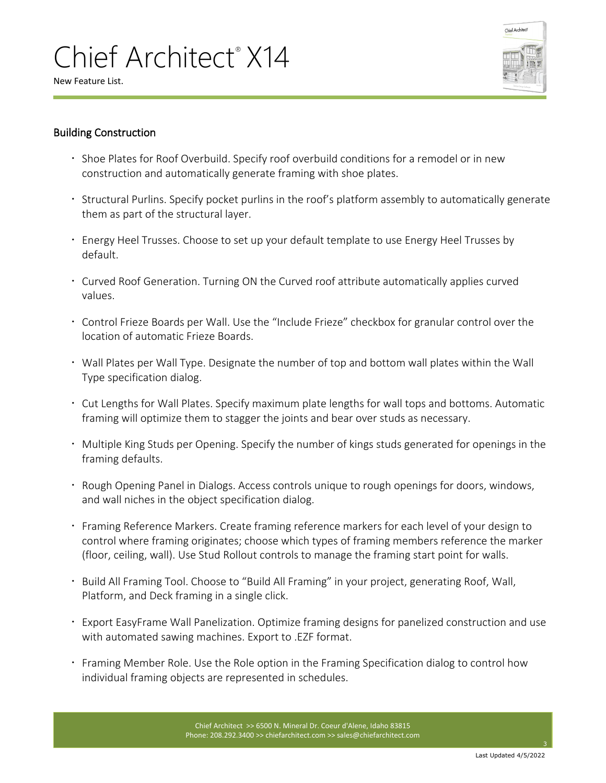Chief Architec

New Feature List.

#### Building Construction

- $\cdot$  Shoe Plates for Roof Overbuild. Specify roof overbuild conditions for a remodel or in new construction and automatically generate framing with shoe plates.
- **Structural Purlins. Specify pocket purlins in the roof's platform assembly to automatically generate** them as part of the structural layer.
- Energy Heel Trusses. Choose to set up your default template to use Energy Heel Trusses by default.
- Curved Roof Generation. Turning ON the Curved roof attribute automatically applies curved values.
- Control Frieze Boards per Wall. Use the "Include Frieze" checkbox for granular control over the location of automatic Frieze Boards.
- Wall Plates per Wall Type. Designate the number of top and bottom wall plates within the Wall Type specification dialog.
- Cut Lengths for Wall Plates. Specify maximum plate lengths for wall tops and bottoms. Automatic framing will optimize them to stagger the joints and bear over studs as necessary.
- Multiple King Studs per Opening. Specify the number of kings studs generated for openings in the framing defaults.
- Rough Opening Panel in Dialogs. Access controls unique to rough openings for doors, windows, and wall niches in the object specification dialog.
- Framing Reference Markers. Create framing reference markers for each level of your design to control where framing originates; choose which types of framing members reference the marker (floor, ceiling, wall). Use Stud Rollout controls to manage the framing start point for walls.
- Build All Framing Tool. Choose to "Build All Framing" in your project, generating Roof, Wall, Platform, and Deck framing in a single click.
- Export EasyFrame Wall Panelization. Optimize framing designs for panelized construction and use with automated sawing machines. Export to .EZF format.
- Framing Member Role. Use the Role option in the Framing Specification dialog to control how individual framing objects are represented in schedules.

Chief Architect >> 6500 N. Mineral Dr. Coeur d'Alene, Idaho 83815 Phone: 208.292.3400 >> chiefarchitect.com >> sales@chiefarchitect.com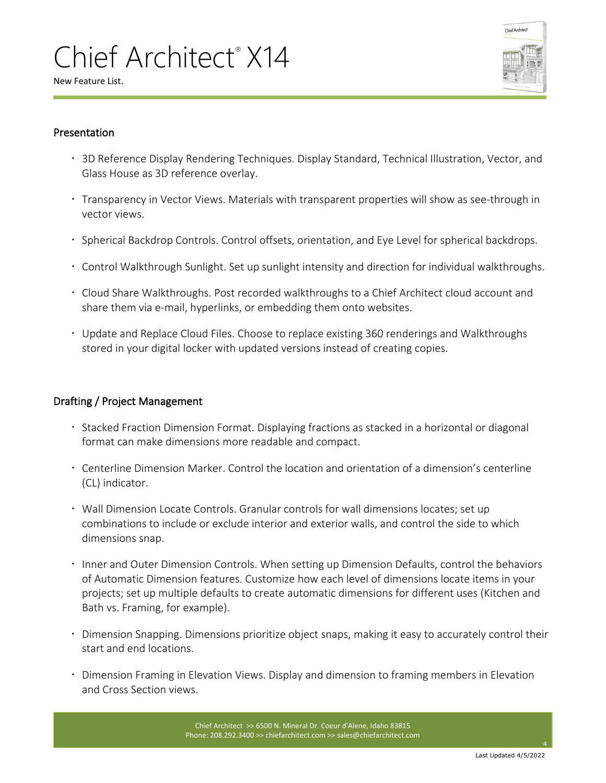

New Feature List.

#### Presentation

- 3D Reference Display Rendering Techniques. Display Standard, Technical Illustration, Vector, and Glass House as 3D reference overlay.
- Transparency in Vector Views. Materials with transparent properties will show as see-through in vector views.
- . Spherical Backdrop Controls. Control offsets, orientation, and Eye Level for spherical backdrops.
- Control Walkthrough Sunlight. Set up sunlight intensity and direction for individual walkthroughs.
- Cloud Share Walkthroughs. Post recorded walkthroughs to a Chief Architect cloud account and share them via e-mail, hyperlinks, or embedding them onto websites.
- Update and Replace Cloud Files. Choose to replace existing 360 renderings and Walkthroughs stored in your digital locker with updated versions instead of creating copies.

### Drafting / Project Management

- **Stacked Fraction Dimension Format. Displaying fractions as stacked in a horizontal or diagonal** format can make dimensions more readable and compact.
- Centerline Dimension Marker. Control the location and orientation of a dimension's centerline (CL) indicator.
- Wall Dimension Locate Controls. Granular controls for wall dimensions locates; set up combinations to include or exclude interior and exterior walls, and control the side to which dimensions snap.
- **Inner and Outer Dimension Controls. When setting up Dimension Defaults, control the behaviors 1** of Automatic Dimension features. Customize how each level of dimensions locate items in your projects; set up multiple defaults to create automatic dimensions for different uses (Kitchen and Bath vs. Framing, for example).
- Dimension Snapping. Dimensions prioritize object snaps, making it easy to accurately control their start and end locations.
- Dimension Framing in Elevation Views. Display and dimension to framing members in Elevation and Cross Section views.

Chief Architect >> 6500 N. Mineral Dr. Coeur d'Alene, Idaho 83815 Phone: 208.292.3400 >> chiefarchitect.com >> sales@chiefarchitect.com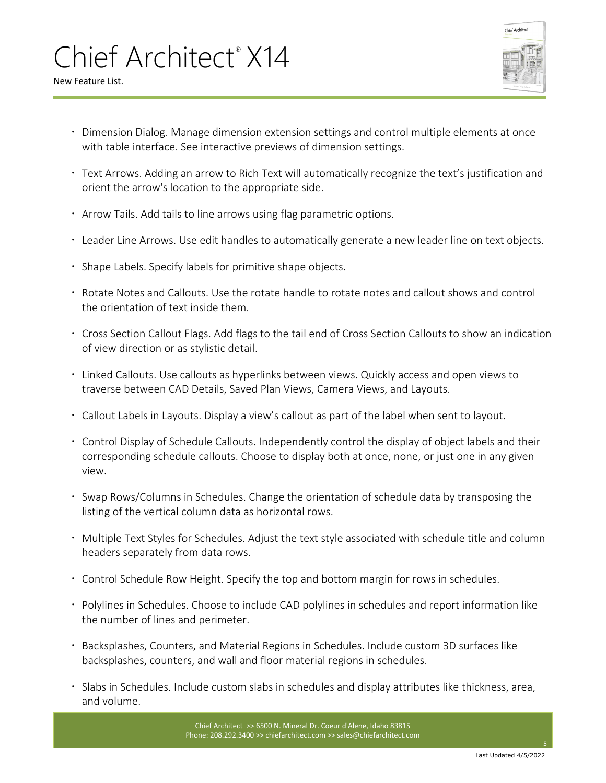

New Feature List.

- Dimension Dialog. Manage dimension extension settings and control multiple elements at once with table interface. See interactive previews of dimension settings.
- Text Arrows. Adding an arrow to Rich Text will automatically recognize the text's justification and orient the arrow's location to the appropriate side.
- Arrow Tails. Add tails to line arrows using flag parametric options.
- Leader Line Arrows. Use edit handles to automatically generate a new leader line on text objects.
- Shape Labels. Specify labels for primitive shape objects.
- Rotate Notes and Callouts. Use the rotate handle to rotate notes and callout shows and control the orientation of text inside them.
- Cross Section Callout Flags. Add flags to the tail end of Cross Section Callouts to show an indication of view direction or as stylistic detail.
- Linked Callouts. Use callouts as hyperlinks between views. Quickly access and open views to traverse between CAD Details, Saved Plan Views, Camera Views, and Layouts.
- Callout Labels in Layouts. Display a view's callout as part of the label when sent to layout.
- Control Display of Schedule Callouts. Independently control the display of object labels and their corresponding schedule callouts. Choose to display both at once, none, or just one in any given view.
- Swap Rows/Columns in Schedules. Change the orientation of schedule data by transposing the listing of the vertical column data as horizontal rows.
- Multiple Text Styles for Schedules. Adjust the text style associated with schedule title and column headers separately from data rows.
- Control Schedule Row Height. Specify the top and bottom margin for rows in schedules.
- Polylines in Schedules. Choose to include CAD polylines in schedules and report information like the number of lines and perimeter.
- Backsplashes, Counters, and Material Regions in Schedules. Include custom 3D surfaces like backsplashes, counters, and wall and floor material regions in schedules.
- Slabs in Schedules. Include custom slabs in schedules and display attributes like thickness, area, and volume.

Chief Architect >> 6500 N. Mineral Dr. Coeur d'Alene, Idaho 83815 Phone: 208.292.3400 >> chiefarchitect.com >> sales@chiefarchitect.com